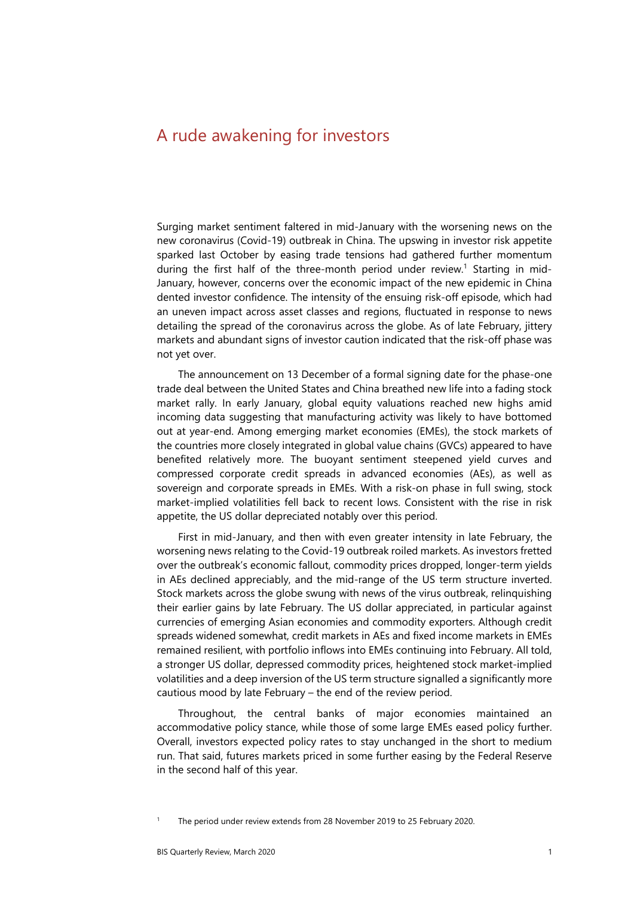# A rude awakening for investors

Surging market sentiment faltered in mid-January with the worsening news on the new coronavirus (Covid-19) outbreak in China. The upswing in investor risk appetite sparked last October by easing trade tensions had gathered further momentum during the first half of the three-month period under review.<sup>1</sup> Starting in mid-January, however, concerns over the economic impact of the new epidemic in China dented investor confidence. The intensity of the ensuing risk-off episode, which had an uneven impact across asset classes and regions, fluctuated in response to news detailing the spread of the coronavirus across the globe. As of late February, jittery markets and abundant signs of investor caution indicated that the risk-off phase was not yet over.

The announcement on 13 December of a formal signing date for the phase-one trade deal between the United States and China breathed new life into a fading stock market rally. In early January, global equity valuations reached new highs amid incoming data suggesting that manufacturing activity was likely to have bottomed out at year-end. Among emerging market economies (EMEs), the stock markets of the countries more closely integrated in global value chains (GVCs) appeared to have benefited relatively more. The buoyant sentiment steepened yield curves and compressed corporate credit spreads in advanced economies (AEs), as well as sovereign and corporate spreads in EMEs. With a risk-on phase in full swing, stock market-implied volatilities fell back to recent lows. Consistent with the rise in risk appetite, the US dollar depreciated notably over this period.

First in mid-January, and then with even greater intensity in late February, the worsening news relating to the Covid-19 outbreak roiled markets. As investors fretted over the outbreak's economic fallout, commodity prices dropped, longer-term yields in AEs declined appreciably, and the mid-range of the US term structure inverted. Stock markets across the globe swung with news of the virus outbreak, relinquishing their earlier gains by late February. The US dollar appreciated, in particular against currencies of emerging Asian economies and commodity exporters. Although credit spreads widened somewhat, credit markets in AEs and fixed income markets in EMEs remained resilient, with portfolio inflows into EMEs continuing into February. All told, a stronger US dollar, depressed commodity prices, heightened stock market-implied volatilities and a deep inversion of the US term structure signalled a significantly more cautious mood by late February – the end of the review period.

Throughout, the central banks of major economies maintained an accommodative policy stance, while those of some large EMEs eased policy further. Overall, investors expected policy rates to stay unchanged in the short to medium run. That said, futures markets priced in some further easing by the Federal Reserve in the second half of this year.

The period under review extends from 28 November 2019 to 25 February 2020.

<span id="page-0-0"></span>1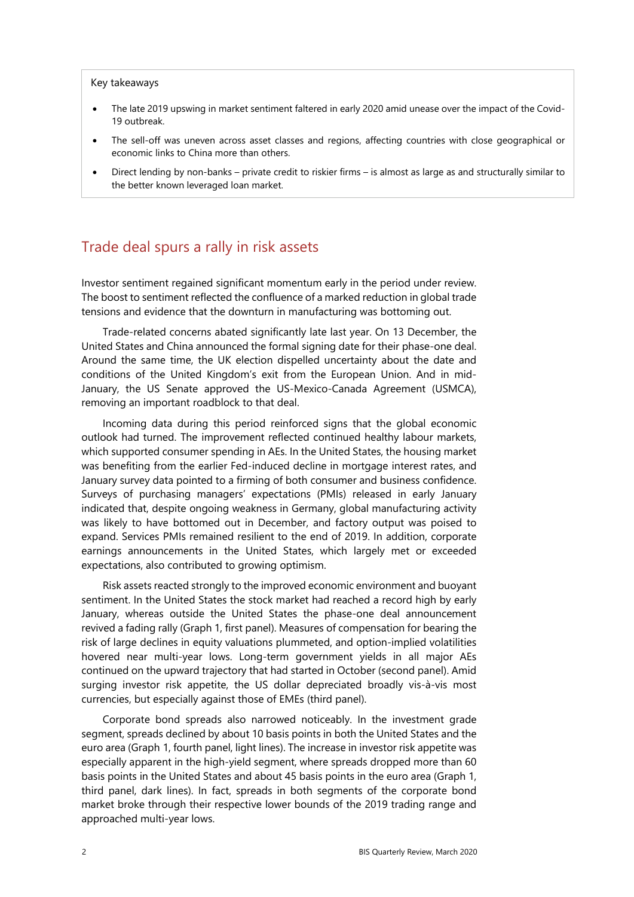#### Key takeaways

- The late 2019 upswing in market sentiment faltered in early 2020 amid unease over the impact of the Covid-19 outbreak.
- The sell-off was uneven across asset classes and regions, affecting countries with close geographical or economic links to China more than others.
- Direct lending by non-banks private credit to riskier firms is almost as large as and structurally similar to the better known leveraged loan market.

## Trade deal spurs a rally in risk assets

Investor sentiment regained significant momentum early in the period under review. The boost to sentiment reflected the confluence of a marked reduction in global trade tensions and evidence that the downturn in manufacturing was bottoming out.

Trade-related concerns abated significantly late last year. On 13 December, the United States and China announced the formal signing date for their phase-one deal. Around the same time, the UK election dispelled uncertainty about the date and conditions of the United Kingdom's exit from the European Union. And in mid-January, the US Senate approved the US-Mexico-Canada Agreement (USMCA), removing an important roadblock to that deal.

Incoming data during this period reinforced signs that the global economic outlook had turned. The improvement reflected continued healthy labour markets, which supported consumer spending in AEs. In the United States, the housing market was benefiting from the earlier Fed-induced decline in mortgage interest rates, and January survey data pointed to a firming of both consumer and business confidence. Surveys of purchasing managers' expectations (PMIs) released in early January indicated that, despite ongoing weakness in Germany, global manufacturing activity was likely to have bottomed out in December, and factory output was poised to expand. Services PMIs remained resilient to the end of 2019. In addition, corporate earnings announcements in the United States, which largely met or exceeded expectations, also contributed to growing optimism.

Risk assets reacted strongly to the improved economic environment and buoyant sentiment. In the United States the stock market had reached a record high by early January, whereas outside the United States the phase-one deal announcement revived a fading rally (Graph 1, first panel). Measures of compensation for bearing the risk of large declines in equity valuations plummeted, and option-implied volatilities hovered near multi-year lows. Long-term government yields in all major AEs continued on the upward trajectory that had started in October (second panel). Amid surging investor risk appetite, the US dollar depreciated broadly vis-à-vis most currencies, but especially against those of EMEs (third panel).

Corporate bond spreads also narrowed noticeably. In the investment grade segment, spreads declined by about 10 basis points in both the United States and the euro area (Graph 1, fourth panel, light lines). The increase in investor risk appetite was especially apparent in the high-yield segment, where spreads dropped more than 60 basis points in the United States and about 45 basis points in the euro area (Graph 1, third panel, dark lines). In fact, spreads in both segments of the corporate bond market broke through their respective lower bounds of the 2019 trading range and approached multi-year lows.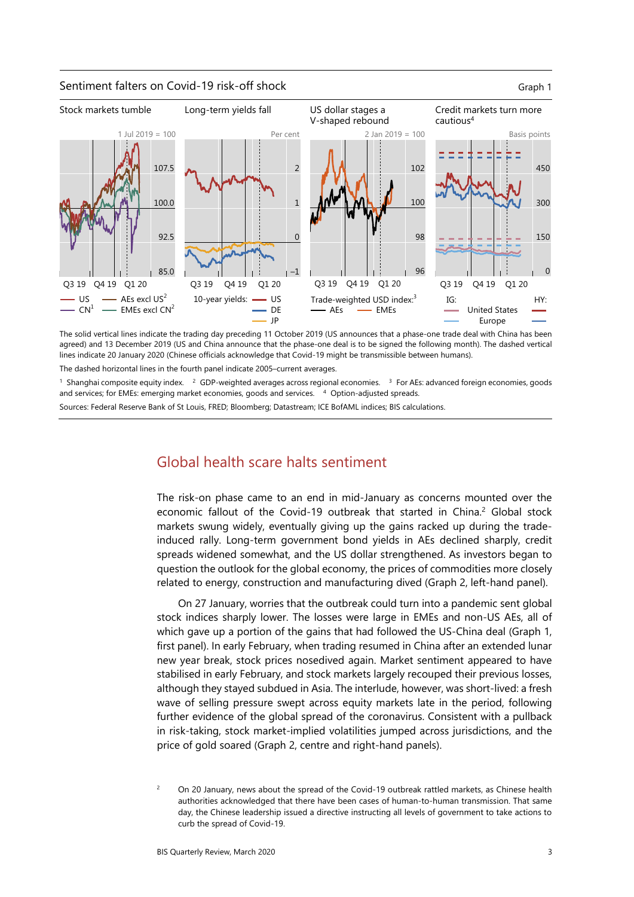

The solid vertical lines indicate the trading day preceding 11 October 2019 (US announces that a phase-one trade deal with China has been agreed) and 13 December 2019 (US and China announce that the phase-one deal is to be signed the following month). The dashed vertical lines indicate 20 January 2020 (Chinese officials acknowledge that Covid-19 might be transmissible between humans).

The dashed horizontal lines in the fourth panel indicate 2005–current averages.

<sup>1</sup> Shanghai composite equity index.  $2$  GDP-weighted averages across regional economies.  $3$  For AEs: advanced foreign economies, goods and services; for EMEs: emerging market economies, goods and services. <sup>4</sup> Option-adjusted spreads.

Sources: Federal Reserve Bank of St Louis, FRED; Bloomberg; Datastream; ICE BofAML indices; BIS calculations.

# Global health scare halts sentiment

The risk-on phase came to an end in mid-January as concerns mounted over the economic fallout of the Covid-19 outbreak that started in China.<sup>[2](#page-2-0)</sup> Global stock markets swung widely, eventually giving up the gains racked up during the tradeinduced rally. Long-term government bond yields in AEs declined sharply, credit spreads widened somewhat, and the US dollar strengthened. As investors began to question the outlook for the global economy, the prices of commodities more closely related to energy, construction and manufacturing dived (Graph 2, left-hand panel).

On 27 January, worries that the outbreak could turn into a pandemic sent global stock indices sharply lower. The losses were large in EMEs and non-US AEs, all of which gave up a portion of the gains that had followed the US-China deal (Graph 1, first panel). In early February, when trading resumed in China after an extended lunar new year break, stock prices nosedived again. Market sentiment appeared to have stabilised in early February, and stock markets largely recouped their previous losses, although they stayed subdued in Asia. The interlude, however, was short-lived: a fresh wave of selling pressure swept across equity markets late in the period, following further evidence of the global spread of the coronavirus. Consistent with a pullback in risk-taking, stock market-implied volatilities jumped across jurisdictions, and the price of gold soared (Graph 2, centre and right-hand panels).

<span id="page-2-0"></span><sup>2</sup> On 20 January, news about the spread of the Covid-19 outbreak rattled markets, as Chinese health authorities acknowledged that there have been cases of human-to-human transmission. That same day, the Chinese leadership issued a directive instructing all levels of government to take actions to curb the spread of Covid-19.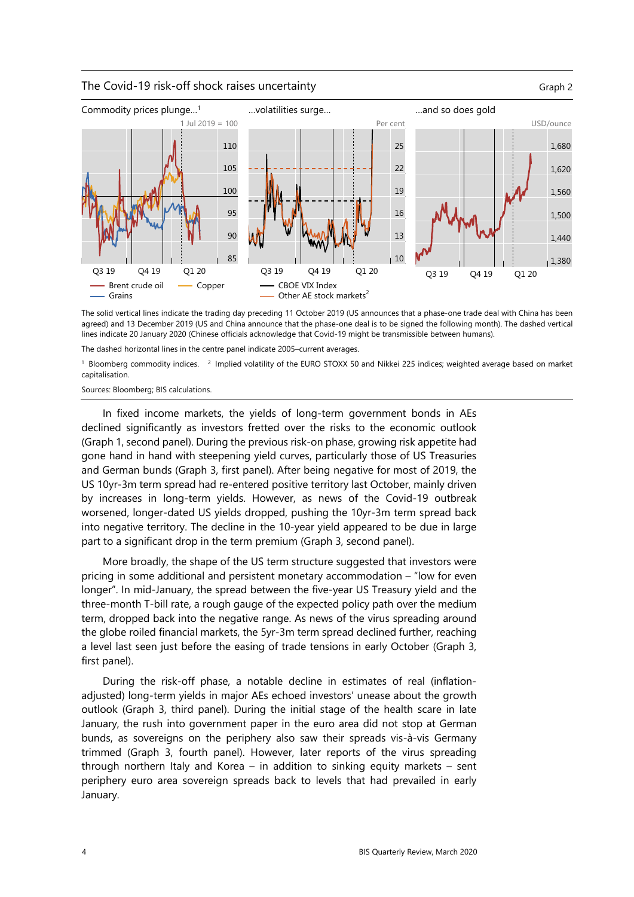### The Covid-19 risk-off shock raises uncertainty The Covid-19 risk-off shock raises uncertainty



The solid vertical lines indicate the trading day preceding 11 October 2019 (US announces that a phase-one trade deal with China has been agreed) and 13 December 2019 (US and China announce that the phase-one deal is to be signed the following month). The dashed vertical lines indicate 20 January 2020 (Chinese officials acknowledge that Covid-19 might be transmissible between humans).

The dashed horizontal lines in the centre panel indicate 2005–current averages.

<sup>1</sup> Bloomberg commodity indices. <sup>2</sup> Implied volatility of the EURO STOXX 50 and Nikkei 225 indices; weighted average based on market capitalisation.

Sources: Bloomberg; BIS calculations.

In fixed income markets, the yields of long-term government bonds in AEs declined significantly as investors fretted over the risks to the economic outlook (Graph 1, second panel). During the previous risk-on phase, growing risk appetite had gone hand in hand with steepening yield curves, particularly those of US Treasuries and German bunds (Graph 3, first panel). After being negative for most of 2019, the US 10yr-3m term spread had re-entered positive territory last October, mainly driven by increases in long-term yields. However, as news of the Covid-19 outbreak worsened, longer-dated US yields dropped, pushing the 10yr-3m term spread back into negative territory. The decline in the 10-year yield appeared to be due in large part to a significant drop in the term premium (Graph 3, second panel).

More broadly, the shape of the US term structure suggested that investors were pricing in some additional and persistent monetary accommodation – "low for even longer". In mid-January, the spread between the five-year US Treasury yield and the three-month T-bill rate, a rough gauge of the expected policy path over the medium term, dropped back into the negative range. As news of the virus spreading around the globe roiled financial markets, the 5yr-3m term spread declined further, reaching a level last seen just before the easing of trade tensions in early October (Graph 3, first panel).

During the risk-off phase, a notable decline in estimates of real (inflationadjusted) long-term yields in major AEs echoed investors' unease about the growth outlook (Graph 3, third panel). During the initial stage of the health scare in late January, the rush into government paper in the euro area did not stop at German bunds, as sovereigns on the periphery also saw their spreads vis-à-vis Germany trimmed (Graph 3, fourth panel). However, later reports of the virus spreading through northern Italy and Korea – in addition to sinking equity markets – sent periphery euro area sovereign spreads back to levels that had prevailed in early January.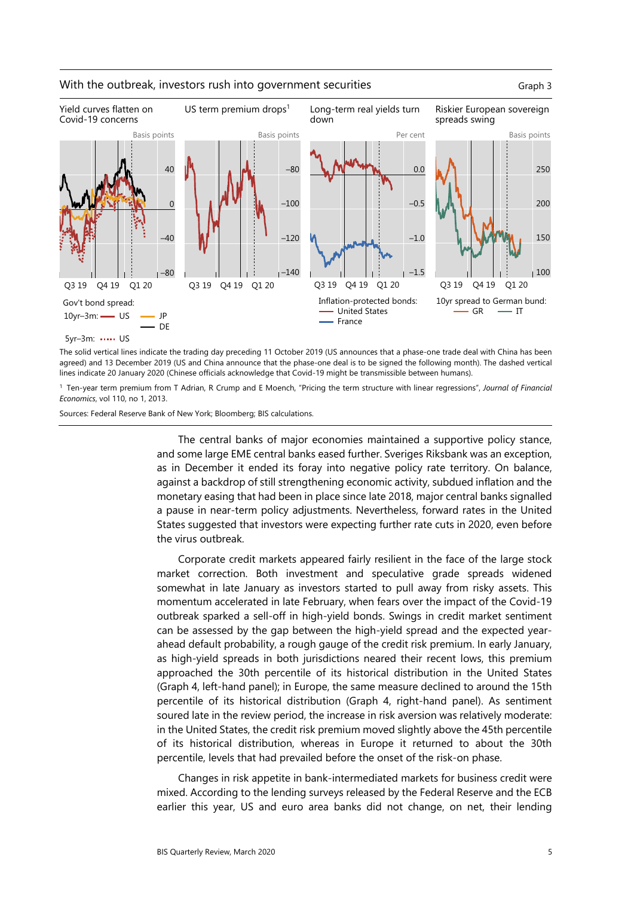

### With the outbreak, investors rush into government securities Graph 3

The solid vertical lines indicate the trading day preceding 11 October 2019 (US announces that a phase-one trade deal with China has been agreed) and 13 December 2019 (US and China announce that the phase-one deal is to be signed the following month). The dashed vertical lines indicate 20 January 2020 (Chinese officials acknowledge that Covid-19 might be transmissible between humans).

1 Ten-year term premium from T Adrian, R Crump and E Moench, "Pricing the term structure with linear regressions", *Journal of Financial Economics*, vol 110, no 1, 2013.

Sources: Federal Reserve Bank of New York; Bloomberg; BIS calculations.

The central banks of major economies maintained a supportive policy stance, and some large EME central banks eased further. Sveriges Riksbank was an exception, as in December it ended its foray into negative policy rate territory. On balance, against a backdrop of still strengthening economic activity, subdued inflation and the monetary easing that had been in place since late 2018, major central banks signalled a pause in near-term policy adjustments. Nevertheless, forward rates in the United States suggested that investors were expecting further rate cuts in 2020, even before the virus outbreak.

Corporate credit markets appeared fairly resilient in the face of the large stock market correction. Both investment and speculative grade spreads widened somewhat in late January as investors started to pull away from risky assets. This momentum accelerated in late February, when fears over the impact of the Covid-19 outbreak sparked a sell-off in high-yield bonds. Swings in credit market sentiment can be assessed by the gap between the high-yield spread and the expected yearahead default probability, a rough gauge of the credit risk premium. In early January, as high-yield spreads in both jurisdictions neared their recent lows, this premium approached the 30th percentile of its historical distribution in the United States (Graph 4, left-hand panel); in Europe, the same measure declined to around the 15th percentile of its historical distribution (Graph 4, right-hand panel). As sentiment soured late in the review period, the increase in risk aversion was relatively moderate: in the United States, the credit risk premium moved slightly above the 45th percentile of its historical distribution, whereas in Europe it returned to about the 30th percentile, levels that had prevailed before the onset of the risk-on phase.

Changes in risk appetite in bank-intermediated markets for business credit were mixed. According to the lending surveys released by the Federal Reserve and the ECB earlier this year, US and euro area banks did not change, on net, their lending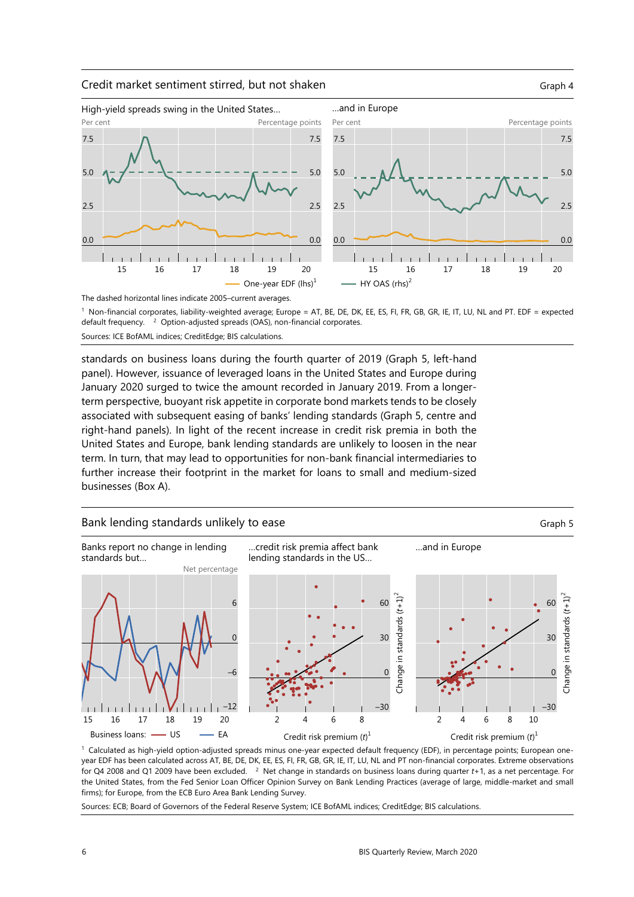

#### The dashed horizontal lines indicate 2005–current averages. 1 Non-financial corporates, liability-weighted average; Europe = AT, BE, DE, DK, EE, ES, FI, FR, GB, GR, IE, IT, LU, NL and PT. EDF = expected default frequency. <sup>2</sup> Option-adjusted spreads (OAS), non-financial corporates. Sources: ICE BofAML indices; CreditEdge; BIS calculations.

standards on business loans during the fourth quarter of 2019 (Graph 5, left-hand panel). However, issuance of leveraged loans in the United States and Europe during January 2020 surged to twice the amount recorded in January 2019. From a longerterm perspective, buoyant risk appetite in corporate bond markets tends to be closely associated with subsequent easing of banks' lending standards (Graph 5, centre and right-hand panels). In light of the recent increase in credit risk premia in both the United States and Europe, bank lending standards are unlikely to loosen in the near term. In turn, that may lead to opportunities for non-bank financial intermediaries to further increase their footprint in the market for loans to small and medium-sized businesses (Box A).



1 Calculated as high-yield option-adjusted spreads minus one-year expected default frequency (EDF), in percentage points; European oneyear EDF has been calculated across AT, BE, DE, DK, EE, ES, FI, FR, GB, GR, IE, IT, LU, NL and PT non-financial corporates. Extreme observations for Q4 2008 and Q1 2009 have been excluded. 2 Net change in standards on business loans during quarter *t*+1, as a net percentage. For the United States, from the Fed Senior Loan Officer Opinion Survey on Bank Lending Practices (average of large, middle-market and small firms); for Europe, from the ECB Euro Area Bank Lending Survey.

Sources: ECB; Board of Governors of the Federal Reserve System; ICE BofAML indices; CreditEdge; BIS calculations.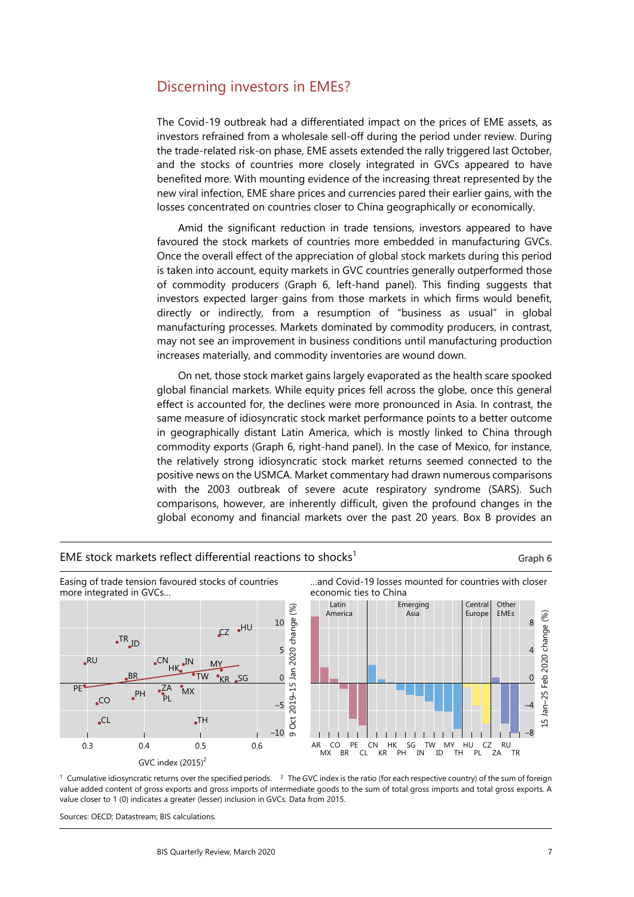# Discerning investors in EMEs?

The Covid-19 outbreak had a differentiated impact on the prices of EME assets, as investors refrained from a wholesale sell-off during the period under review. During the trade-related risk-on phase, EME assets extended the rally triggered last October, and the stocks of countries more closely integrated in GVCs appeared to have benefited more. With mounting evidence of the increasing threat represented by the new viral infection, EME share prices and currencies pared their earlier gains, with the losses concentrated on countries closer to China geographically or economically.

Amid the significant reduction in trade tensions, investors appeared to have favoured the stock markets of countries more embedded in manufacturing GVCs. Once the overall effect of the appreciation of global stock markets during this period is taken into account, equity markets in GVC countries generally outperformed those of commodity producers (Graph 6, left-hand panel). This finding suggests that investors expected larger gains from those markets in which firms would benefit, directly or indirectly, from a resumption of "business as usual" in global manufacturing processes. Markets dominated by commodity producers, in contrast, may not see an improvement in business conditions until manufacturing production increases materially, and commodity inventories are wound down.

On net, those stock market gains largely evaporated as the health scare spooked global financial markets. While equity prices fell across the globe, once this general effect is accounted for, the declines were more pronounced in Asia. In contrast, the same measure of idiosyncratic stock market performance points to a better outcome in geographically distant Latin America, which is mostly linked to China through commodity exports (Graph 6, right-hand panel). In the case of Mexico, for instance, the relatively strong idiosyncratic stock market returns seemed connected to the positive news on the USMCA. Market commentary had drawn numerous comparisons with the 2003 outbreak of severe acute respiratory syndrome (SARS). Such comparisons, however, are inherently difficult, given the profound changes in the global economy and financial markets over the past 20 years. Box B provides an



EME stock markets reflect differential reactions to shocks<sup>1</sup>  $G$ raph 6

<sup>1</sup> Cumulative idiosyncratic returns over the specified periods. <sup>2</sup> The GVC index is the ratio (for each respective country) of the sum of foreign value added content of gross exports and gross imports of intermediate goods to the sum of total gross imports and total gross exports. A value closer to 1 (0) indicates a greater (lesser) inclusion in GVCs. Data from 2015.

Sources: OECD; Datastream; BIS calculations.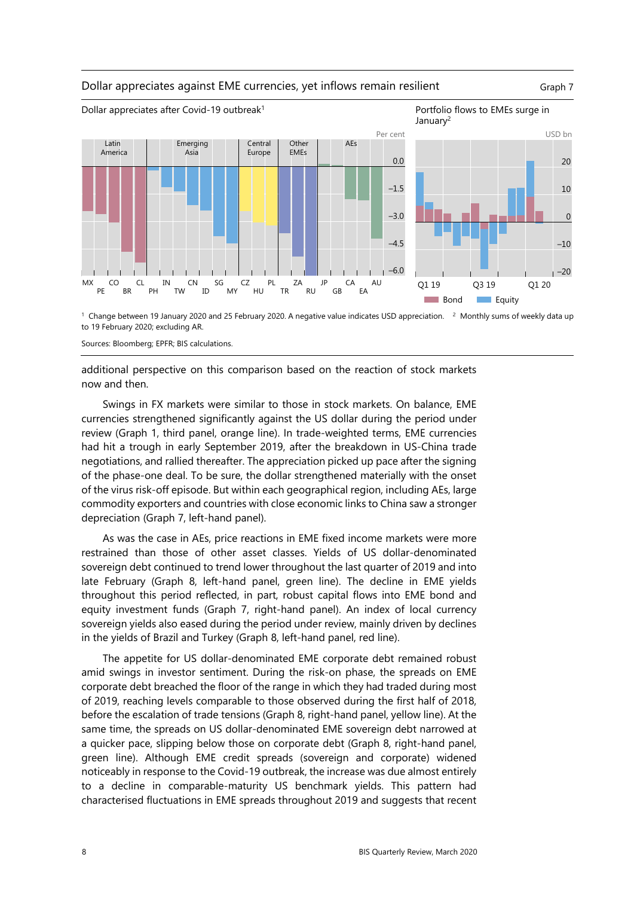#### Dollar appreciates against EME currencies, yet inflows remain resilient Graph 7



<sup>1</sup> Change between 19 January 2020 and 25 February 2020. A negative value indicates USD appreciation. <sup>2</sup> Monthly sums of weekly data up to 19 February 2020; excluding AR.

Sources: Bloomberg; EPFR; BIS calculations.

additional perspective on this comparison based on the reaction of stock markets now and then.

Swings in FX markets were similar to those in stock markets. On balance, EME currencies strengthened significantly against the US dollar during the period under review (Graph 1, third panel, orange line). In trade-weighted terms, EME currencies had hit a trough in early September 2019, after the breakdown in US-China trade negotiations, and rallied thereafter. The appreciation picked up pace after the signing of the phase-one deal. To be sure, the dollar strengthened materially with the onset of the virus risk-off episode. But within each geographical region, including AEs, large commodity exporters and countries with close economic links to China saw a stronger depreciation (Graph 7, left-hand panel).

As was the case in AEs, price reactions in EME fixed income markets were more restrained than those of other asset classes. Yields of US dollar-denominated sovereign debt continued to trend lower throughout the last quarter of 2019 and into late February (Graph 8, left-hand panel, green line). The decline in EME yields throughout this period reflected, in part, robust capital flows into EME bond and equity investment funds (Graph 7, right-hand panel). An index of local currency sovereign yields also eased during the period under review, mainly driven by declines in the yields of Brazil and Turkey (Graph 8, left-hand panel, red line).

The appetite for US dollar-denominated EME corporate debt remained robust amid swings in investor sentiment. During the risk-on phase, the spreads on EME corporate debt breached the floor of the range in which they had traded during most of 2019, reaching levels comparable to those observed during the first half of 2018, before the escalation of trade tensions (Graph 8, right-hand panel, yellow line). At the same time, the spreads on US dollar-denominated EME sovereign debt narrowed at a quicker pace, slipping below those on corporate debt (Graph 8, right-hand panel, green line). Although EME credit spreads (sovereign and corporate) widened noticeably in response to the Covid-19 outbreak, the increase was due almost entirely to a decline in comparable-maturity US benchmark yields. This pattern had characterised fluctuations in EME spreads throughout 2019 and suggests that recent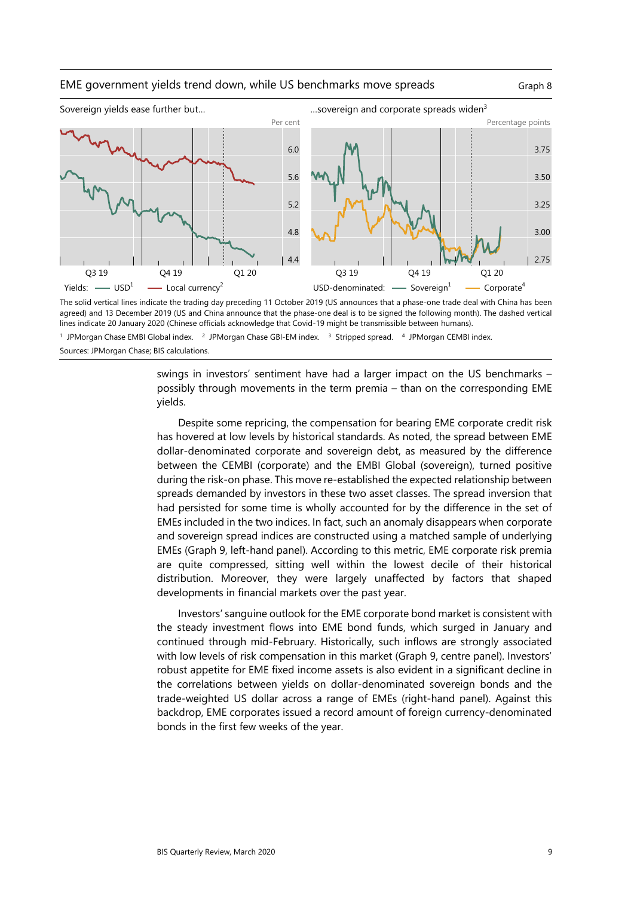### EME government yields trend down, while US benchmarks move spreads Graph 8



The solid vertical lines indicate the trading day preceding 11 October 2019 (US announces that a phase-one trade deal with China has been agreed) and 13 December 2019 (US and China announce that the phase-one deal is to be signed the following month). The dashed vertical lines indicate 20 January 2020 (Chinese officials acknowledge that Covid-19 might be transmissible between humans).

swings in investors' sentiment have had a larger impact on the US benchmarks – possibly through movements in the term premia – than on the corresponding EME yields.

Despite some repricing, the compensation for bearing EME corporate credit risk has hovered at low levels by historical standards. As noted, the spread between EME dollar-denominated corporate and sovereign debt, as measured by the difference between the CEMBI (corporate) and the EMBI Global (sovereign), turned positive during the risk-on phase. This move re-established the expected relationship between spreads demanded by investors in these two asset classes. The spread inversion that had persisted for some time is wholly accounted for by the difference in the set of EMEs included in the two indices. In fact, such an anomaly disappears when corporate and sovereign spread indices are constructed using a matched sample of underlying EMEs (Graph 9, left-hand panel). According to this metric, EME corporate risk premia are quite compressed, sitting well within the lowest decile of their historical distribution. Moreover, they were largely unaffected by factors that shaped developments in financial markets over the past year.

Investors' sanguine outlook for the EME corporate bond market is consistent with the steady investment flows into EME bond funds, which surged in January and continued through mid-February. Historically, such inflows are strongly associated with low levels of risk compensation in this market (Graph 9, centre panel). Investors' robust appetite for EME fixed income assets is also evident in a significant decline in the correlations between yields on dollar-denominated sovereign bonds and the trade-weighted US dollar across a range of EMEs (right-hand panel). Against this backdrop, EME corporates issued a record amount of foreign currency-denominated bonds in the first few weeks of the year.

<sup>&</sup>lt;sup>1</sup> JPMorgan Chase EMBI Global index. <sup>2</sup> JPMorgan Chase GBI-EM index. <sup>3</sup> Stripped spread. <sup>4</sup> JPMorgan CEMBI index. Sources: JPMorgan Chase; BIS calculations.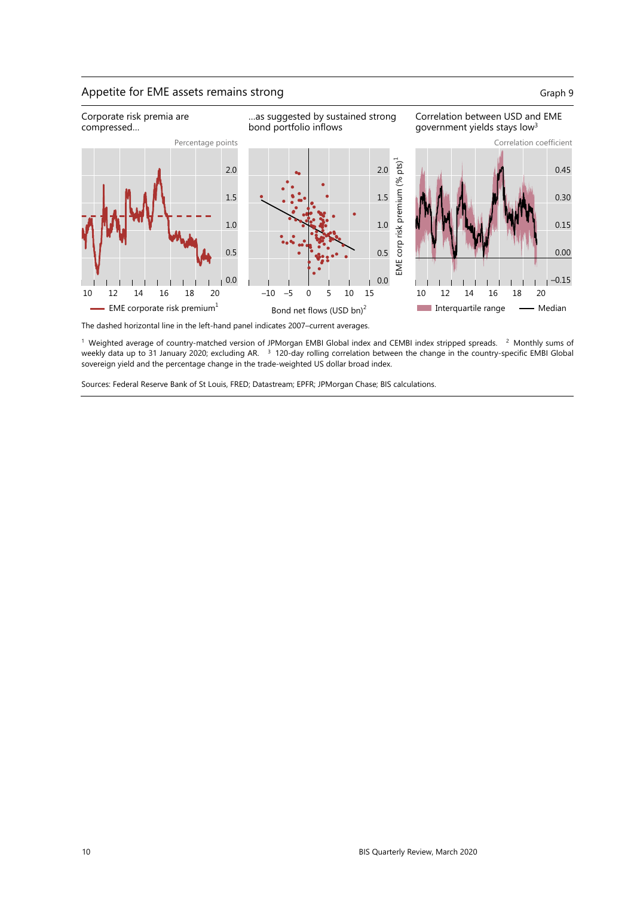## Appetite for EME assets remains strong Graph 9



The dashed horizontal line in the left-hand panel indicates 2007–current averages.

 $1$  Weighted average of country-matched version of JPMorgan EMBI Global index and CEMBI index stripped spreads.  $2$  Monthly sums of weekly data up to 31 January 2020; excluding AR. <sup>3</sup> 120-day rolling correlation between the change in the country-specific EMBI Global sovereign yield and the percentage change in the trade-weighted US dollar broad index.

Sources: Federal Reserve Bank of St Louis, FRED; Datastream; EPFR; JPMorgan Chase; BIS calculations.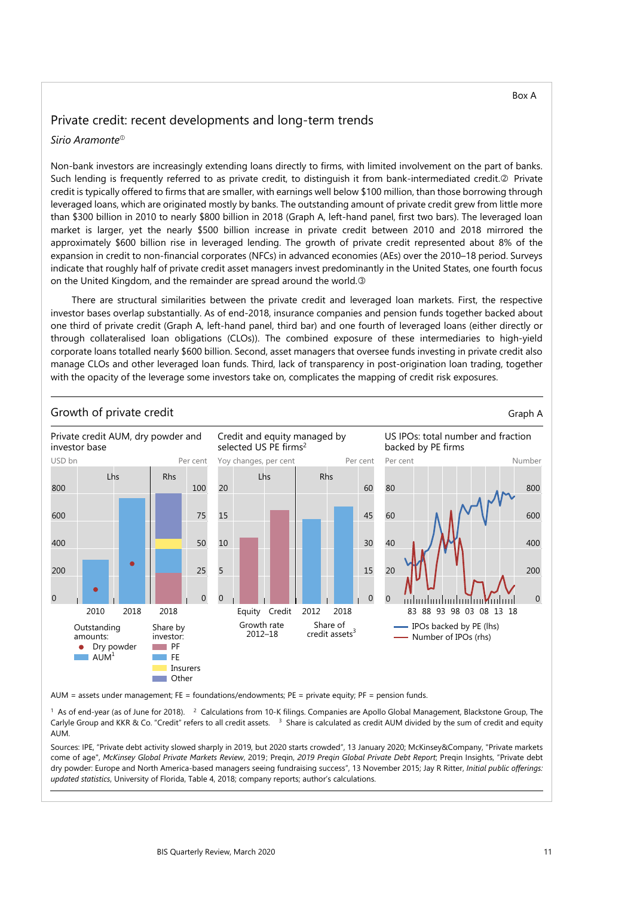Box A

## Private credit: recent developments and long-term trends

## *Sirio Aramonte*

Non-bank investors are increasingly extending loans directly to firms, with limited involvement on the part of banks. Such lending is frequently referred to as private credit, to distinguish it from bank-intermediated credit.<sup>2</sup> Private credit is typically offered to firms that are smaller, with earnings well below \$100 million, than those borrowing through leveraged loans, which are originated mostly by banks. The outstanding amount of private credit grew from little more than \$300 billion in 2010 to nearly \$800 billion in 2018 (Graph A, left-hand panel, first two bars). The leveraged loan market is larger, yet the nearly \$500 billion increase in private credit between 2010 and 2018 mirrored the approximately \$600 billion rise in leveraged lending. The growth of private credit represented about 8% of the expansion in credit to non-financial corporates (NFCs) in advanced economies (AEs) over the 2010–18 period. Surveys indicate that roughly half of private credit asset managers invest predominantly in the United States, one fourth focus on the United Kingdom, and the remainder are spread around the world.

There are structural similarities between the private credit and leveraged loan markets. First, the respective investor bases overlap substantially. As of end-2018, insurance companies and pension funds together backed about one third of private credit (Graph A, left-hand panel, third bar) and one fourth of leveraged loans (either directly or through collateralised loan obligations (CLOs)). The combined exposure of these intermediaries to high-yield corporate loans totalled nearly \$600 billion. Second, asset managers that oversee funds investing in private credit also manage CLOs and other leveraged loan funds. Third, lack of transparency in post-origination loan trading, together with the opacity of the leverage some investors take on, complicates the mapping of credit risk exposures.



AUM = assets under management; FE = foundations/endowments; PE = private equity; PF = pension funds.

 $1$  As of end-year (as of June for 2018).  $2$  Calculations from 10-K filings. Companies are Apollo Global Management, Blackstone Group, The Carlyle Group and KKR & Co. "Credit" refers to all credit assets. <sup>3</sup> Share is calculated as credit AUM divided by the sum of credit and equity AUM.

Sources: IPE, "Private debt activity slowed sharply in 2019, but 2020 starts crowded", 13 January 2020; McKinsey&Company, "Private markets come of age", *McKinsey Global Private Markets Review*, 2019; Preqin, *2019 Preqin Global Private Debt Report*; Preqin Insights, "Private debt dry powder: Europe and North America-based managers seeing fundraising success", 13 November 2015; Jay R Ritter, *Initial public offerings: updated statistics*, University of Florida, Table 4, 2018; company reports; author's calculations.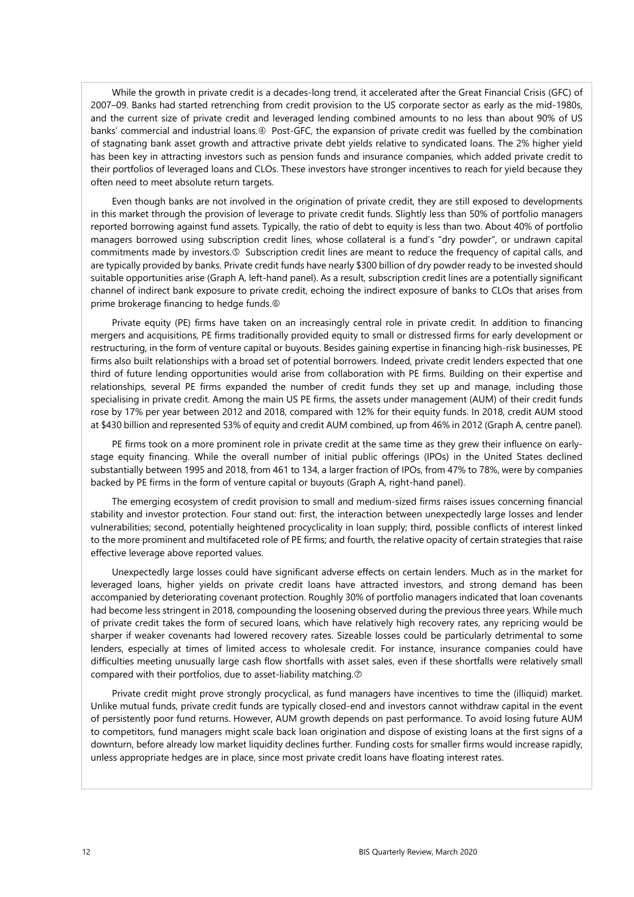While the growth in private credit is a decades-long trend, it accelerated after the Great Financial Crisis (GFC) of 2007–09. Banks had started retrenching from credit provision to the US corporate sector as early as the mid-1980s, and the current size of private credit and leveraged lending combined amounts to no less than about 90% of US banks' commercial and industrial loans.  $\Phi$  Post-GFC, the expansion of private credit was fuelled by the combination of stagnating bank asset growth and attractive private debt yields relative to syndicated loans. The 2% higher yield has been key in attracting investors such as pension funds and insurance companies, which added private credit to their portfolios of leveraged loans and CLOs. These investors have stronger incentives to reach for yield because they often need to meet absolute return targets.

Even though banks are not involved in the origination of private credit, they are still exposed to developments in this market through the provision of leverage to private credit funds. Slightly less than 50% of portfolio managers reported borrowing against fund assets. Typically, the ratio of debt to equity is less than two. About 40% of portfolio managers borrowed using subscription credit lines, whose collateral is a fund's "dry powder", or undrawn capital commitments made by investors.<sup>5</sup> Subscription credit lines are meant to reduce the frequency of capital calls, and are typically provided by banks. Private credit funds have nearly \$300 billion of dry powder ready to be invested should suitable opportunities arise (Graph A, left-hand panel). As a result, subscription credit lines are a potentially significant channel of indirect bank exposure to private credit, echoing the indirect exposure of banks to CLOs that arises from prime brokerage financing to hedge funds.

Private equity (PE) firms have taken on an increasingly central role in private credit. In addition to financing mergers and acquisitions, PE firms traditionally provided equity to small or distressed firms for early development or restructuring, in the form of venture capital or buyouts. Besides gaining expertise in financing high-risk businesses, PE firms also built relationships with a broad set of potential borrowers. Indeed, private credit lenders expected that one third of future lending opportunities would arise from collaboration with PE firms. Building on their expertise and relationships, several PE firms expanded the number of credit funds they set up and manage, including those specialising in private credit. Among the main US PE firms, the assets under management (AUM) of their credit funds rose by 17% per year between 2012 and 2018, compared with 12% for their equity funds. In 2018, credit AUM stood at \$430 billion and represented 53% of equity and credit AUM combined, up from 46% in 2012 (Graph A, centre panel).

PE firms took on a more prominent role in private credit at the same time as they grew their influence on earlystage equity financing. While the overall number of initial public offerings (IPOs) in the United States declined substantially between 1995 and 2018, from 461 to 134, a larger fraction of IPOs, from 47% to 78%, were by companies backed by PE firms in the form of venture capital or buyouts (Graph A, right-hand panel).

The emerging ecosystem of credit provision to small and medium-sized firms raises issues concerning financial stability and investor protection. Four stand out: first, the interaction between unexpectedly large losses and lender vulnerabilities; second, potentially heightened procyclicality in loan supply; third, possible conflicts of interest linked to the more prominent and multifaceted role of PE firms; and fourth, the relative opacity of certain strategies that raise effective leverage above reported values.

Unexpectedly large losses could have significant adverse effects on certain lenders. Much as in the market for leveraged loans, higher yields on private credit loans have attracted investors, and strong demand has been accompanied by deteriorating covenant protection. Roughly 30% of portfolio managers indicated that loan covenants had become less stringent in 2018, compounding the loosening observed during the previous three years. While much of private credit takes the form of secured loans, which have relatively high recovery rates, any repricing would be sharper if weaker covenants had lowered recovery rates. Sizeable losses could be particularly detrimental to some lenders, especially at times of limited access to wholesale credit. For instance, insurance companies could have difficulties meeting unusually large cash flow shortfalls with asset sales, even if these shortfalls were relatively small compared with their portfolios, due to asset-liability matching.

Private credit might prove strongly procyclical, as fund managers have incentives to time the (illiquid) market. Unlike mutual funds, private credit funds are typically closed-end and investors cannot withdraw capital in the event of persistently poor fund returns. However, AUM growth depends on past performance. To avoid losing future AUM to competitors, fund managers might scale back loan origination and dispose of existing loans at the first signs of a downturn, before already low market liquidity declines further. Funding costs for smaller firms would increase rapidly, unless appropriate hedges are in place, since most private credit loans have floating interest rates.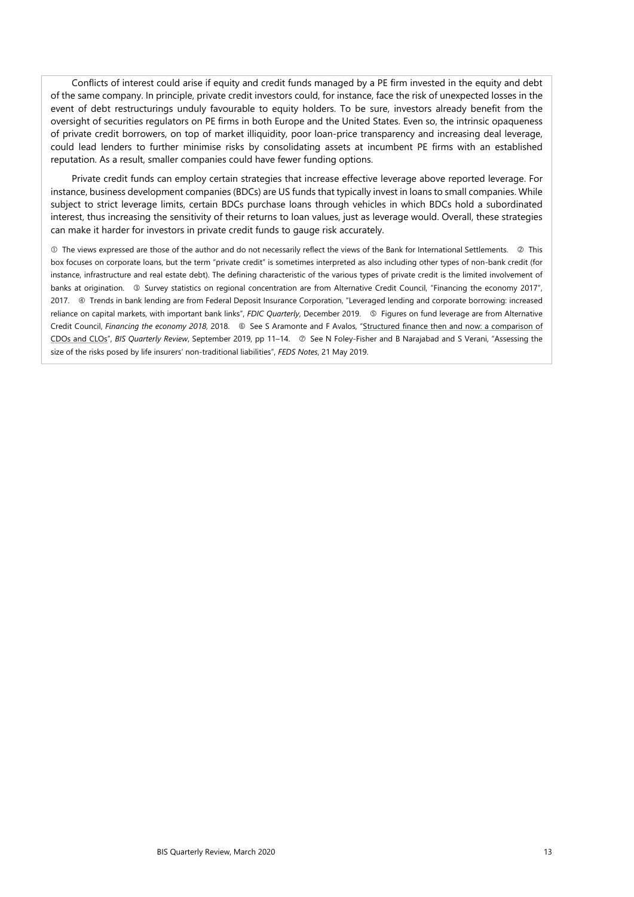Conflicts of interest could arise if equity and credit funds managed by a PE firm invested in the equity and debt of the same company. In principle, private credit investors could, for instance, face the risk of unexpected losses in the event of debt restructurings unduly favourable to equity holders. To be sure, investors already benefit from the oversight of securities regulators on PE firms in both Europe and the United States. Even so, the intrinsic opaqueness of private credit borrowers, on top of market illiquidity, poor loan-price transparency and increasing deal leverage, could lead lenders to further minimise risks by consolidating assets at incumbent PE firms with an established reputation. As a result, smaller companies could have fewer funding options.

Private credit funds can employ certain strategies that increase effective leverage above reported leverage. For instance, business development companies (BDCs) are US funds that typically invest in loans to small companies. While subject to strict leverage limits, certain BDCs purchase loans through vehicles in which BDCs hold a subordinated interest, thus increasing the sensitivity of their returns to loan values, just as leverage would. Overall, these strategies can make it harder for investors in private credit funds to gauge risk accurately.

 $\Phi$  The views expressed are those of the author and do not necessarily reflect the views of the Bank for International Settlements.  $\oslash$  This box focuses on corporate loans, but the term "private credit" is sometimes interpreted as also including other types of non-bank credit (for instance, infrastructure and real estate debt). The defining characteristic of the various types of private credit is the limited involvement of banks at origination. <sup>3</sup> Survey statistics on regional concentration are from Alternative Credit Council, "Financing the economy 2017", 2017. **I** Trends in bank lending are from Federal Deposit Insurance Corporation, "Leveraged lending and corporate borrowing: increased reliance on capital markets, with important bank links", *FDIC Quarterly*, December 2019. Figures on fund leverage are from Alternative Credit Council, *Financing the economy 2018*, 2018. See S Aramonte and F Avalos, ["Structured finance then and now: a comparison of](https://www.bis.org/publ/qtrpdf/r_qt1809h.htm)  [CDOs and CLOs"](https://www.bis.org/publ/qtrpdf/r_qt1809h.htm), *BIS Quarterly Review*, September 2019, pp 11-14.  $\oslash$  See N Foley-Fisher and B Narajabad and S Verani, "Assessing the size of the risks posed by life insurers' non-traditional liabilities", *FEDS Notes*, 21 May 2019.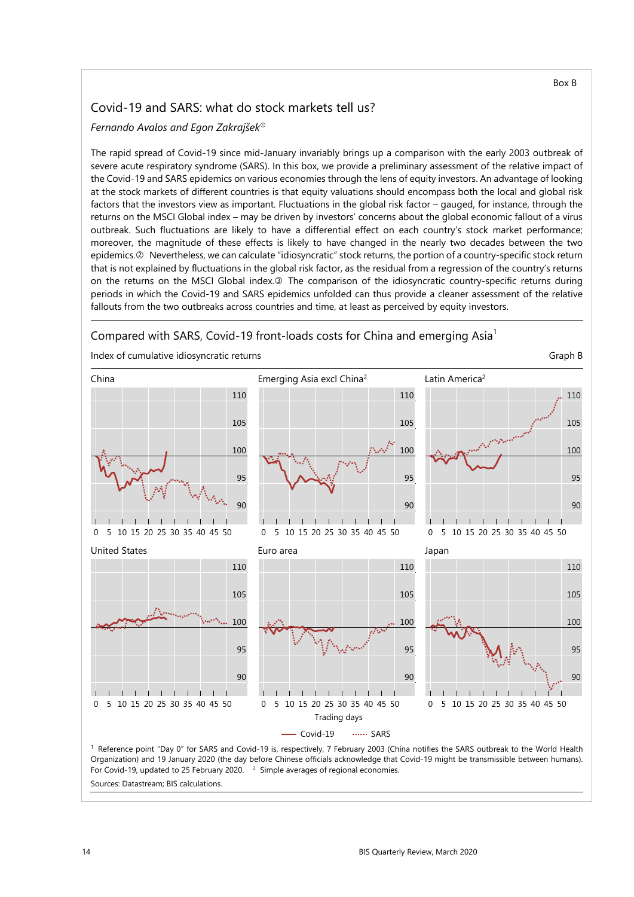## Covid-19 and SARS: what do stock markets tell us?

*Fernando Avalos and Egon Zakrajšek*

The rapid spread of Covid-19 since mid-January invariably brings up a comparison with the early 2003 outbreak of severe acute respiratory syndrome (SARS). In this box, we provide a preliminary assessment of the relative impact of the Covid-19 and SARS epidemics on various economies through the lens of equity investors. An advantage of looking at the stock markets of different countries is that equity valuations should encompass both the local and global risk factors that the investors view as important. Fluctuations in the global risk factor – gauged, for instance, through the returns on the MSCI Global index – may be driven by investors' concerns about the global economic fallout of a virus outbreak. Such fluctuations are likely to have a differential effect on each country's stock market performance; moreover, the magnitude of these effects is likely to have changed in the nearly two decades between the two epidemics. @ Nevertheless, we can calculate "idiosyncratic" stock returns, the portion of a country-specific stock return that is not explained by fluctuations in the global risk factor, as the residual from a regression of the country's returns on the returns on the MSCI Global index.<sup>®</sup> The comparison of the idiosyncratic country-specific returns during periods in which the Covid-19 and SARS epidemics unfolded can thus provide a cleaner assessment of the relative fallouts from the two outbreaks across countries and time, at least as perceived by equity investors.

## Compared with SARS, Covid-19 front-loads costs for China and emerging Asia<sup>1</sup>

Index of cumulative idiosyncratic returns Graph B and the state of cumulative idiosyncratic returns Graph B

China **Emerging Asia excl China<sup>2</sup>** Latin America<sup>2</sup> 110 110 110 105 105 105 100 100 100 95 95 95 90 90  $90$  $\mathbf{I}$  $\overline{1}$  $\overline{\phantom{a}}$  $\mathbf{I}$  $\overline{1}$  $\mathbf{I}$  $\overline{1}$  $\overline{1}$  $\perp$  $\perp$ 0 5 10 15 20 25 30 35 40 45 50 0 5 10 15 20 25 30 35 40 45 50 0 5 10 15 20 25 30 35 40 45 50 United States **Euro area Euro area** Japan 110 110 110 105 105 105 100 100 100 95 95 95  $90$  $90$  $90$  $\overline{1}$  $\Box$  $\overline{1}$  $\overline{1}$  $\overline{1}$  $\overline{1}$  $\perp$  $\overline{1}$ 0 5 10 15 20 25 30 35 40 45 50 0 5 10 15 20 25 30 35 40 45 50 0 5 10 15 20 25 30 35 40 45 50Trading days Covid-19 SARS 1 Reference point "Day 0" for SARS and Covid-19 is, respectively, 7 February 2003 (China notifies the SARS outbreak to the World Health Organization) and 19 January 2020 (the day before Chinese officials acknowledge that Covid-19 might be transmissible between humans). For Covid-19, updated to 25 February 2020. <sup>2</sup> Simple averages of regional economies.

Sources: Datastream; BIS calculations.

Box B